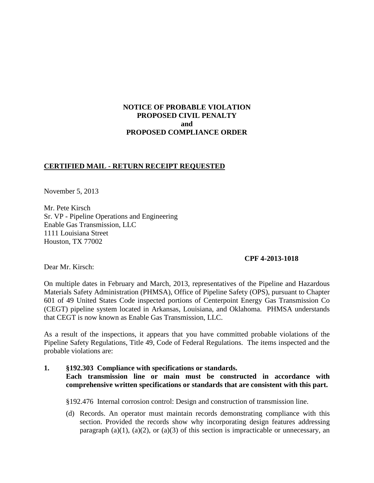# **NOTICE OF PROBABLE VIOLATION PROPOSED CIVIL PENALTY and PROPOSED COMPLIANCE ORDER**

# **CERTIFIED MAIL - RETURN RECEIPT REQUESTED**

November 5, 2013

Mr. Pete Kirsch Sr. VP - Pipeline Operations and Engineering Enable Gas Transmission, LLC 1111 Louisiana Street Houston, TX 77002

#### **CPF 4-2013-1018**

Dear Mr. Kirsch:

On multiple dates in February and March, 2013, representatives of the Pipeline and Hazardous Materials Safety Administration (PHMSA), Office of Pipeline Safety (OPS), pursuant to Chapter 601 of 49 United States Code inspected portions of Centerpoint Energy Gas Transmission Co (CEGT) pipeline system located in Arkansas, Louisiana, and Oklahoma. PHMSA understands that CEGT is now known as Enable Gas Transmission, LLC.

As a result of the inspections, it appears that you have committed probable violations of the Pipeline Safety Regulations, Title 49, Code of Federal Regulations. The items inspected and the probable violations are:

# **1. §192.303 Compliance with specifications or standards. Each transmission line or main must be constructed in accordance with comprehensive written specifications or standards that are consistent with this part.**

§192.476 Internal corrosion control: Design and construction of transmission line.

(d) Records. An operator must maintain records demonstrating compliance with this section. Provided the records show why incorporating design features addressing paragraph (a)(1), (a)(2), or (a)(3) of this section is impracticable or unnecessary, an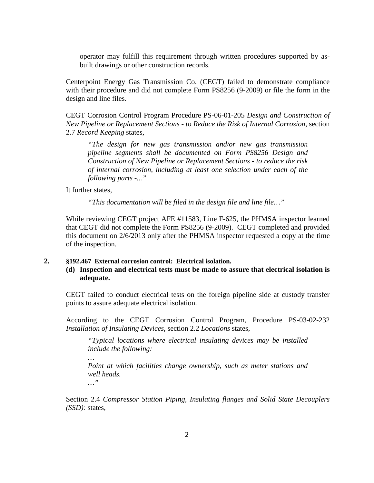operator may fulfill this requirement through written procedures supported by asbuilt drawings or other construction records.

Centerpoint Energy Gas Transmission Co. (CEGT) failed to demonstrate compliance with their procedure and did not complete Form PS8256 (9-2009) or file the form in the design and line files.

CEGT Corrosion Control Program Procedure PS-06-01-205 *Design and Construction of New Pipeline or Replacement Sections - to Reduce the Risk of Internal Corrosion*, section 2.7 *Record Keeping* states,

*"The design for new gas transmission and/or new gas transmission pipeline segments shall be documented on Form PS8256 Design and Construction of New Pipeline or Replacement Sections - to reduce the risk of internal corrosion, including at least one selection under each of the following parts -..."* 

It further states,

*…* 

*"This documentation will be filed in the design file and line file…"*

While reviewing CEGT project AFE #11583, Line F-625, the PHMSA inspector learned that CEGT did not complete the Form PS8256 (9-2009). CEGT completed and provided this document on 2/6/2013 only after the PHMSA inspector requested a copy at the time of the inspection.

#### **2. §192.467 External corrosion control: Electrical isolation.**

**(d) Inspection and electrical tests must be made to assure that electrical isolation is adequate.**

CEGT failed to conduct electrical tests on the foreign pipeline side at custody transfer points to assure adequate electrical isolation.

According to the CEGT Corrosion Control Program, Procedure PS-03-02-232 *Installation of Insulating Devices*, section 2.2 *Locations* states,

*"Typical locations where electrical insulating devices may be installed include the following:*

*Point at which facilities change ownership, such as meter stations and well heads. …"*

Section 2.4 *Compressor Station Piping, Insulating flanges and Solid State Decouplers (SSD):* states,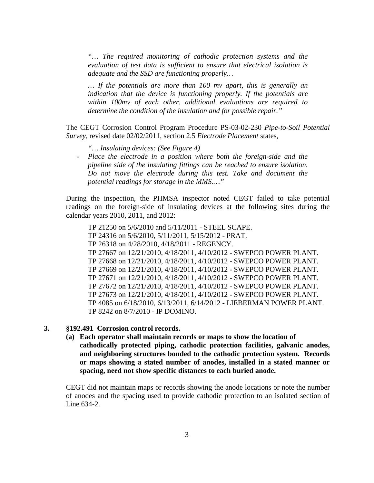*"… The required monitoring of cathodic protection systems and the evaluation of test data is sufficient to ensure that electrical isolation is adequate and the SSD are functioning properly…* 

*… If the potentials are more than 100 mv apart, this is generally an indication that the device is functioning properly. If the potentials are within 100mv of each other, additional evaluations are required to determine the condition of the insulation and for possible repair."* 

The CEGT Corrosion Control Program Procedure PS-03-02-230 *Pipe-to-Soil Potential Survey*, revised date 02/02/2011, section 2.5 *Electrode Placement* states,

- *"… Insulating devices: (See Figure 4)*
- *Place the electrode in a position where both the foreign-side and the pipeline side of the insulating fittings can be reached to ensure isolation. Do not move the electrode during this test. Take and document the potential readings for storage in the MMS.…"*

During the inspection, the PHMSA inspector noted CEGT failed to take potential readings on the foreign-side of insulating devices at the following sites during the calendar years 2010, 2011, and 2012:

TP 21250 on 5/6/2010 and 5/11/2011 - STEEL SCAPE. TP 24316 on 5/6/2010, 5/11/2011, 5/15/2012 - PRAT. TP 26318 on 4/28/2010, 4/18/2011 - REGENCY. TP 27667 on 12/21/2010, 4/18/2011, 4/10/2012 - SWEPCO POWER PLANT. TP 27668 on 12/21/2010, 4/18/2011, 4/10/2012 - SWEPCO POWER PLANT. TP 27669 on 12/21/2010, 4/18/2011, 4/10/2012 - SWEPCO POWER PLANT. TP 27671 on 12/21/2010, 4/18/2011, 4/10/2012 - SWEPCO POWER PLANT. TP 27672 on 12/21/2010, 4/18/2011, 4/10/2012 - SWEPCO POWER PLANT. TP 27673 on 12/21/2010, 4/18/2011, 4/10/2012 - SWEPCO POWER PLANT. TP 4085 on 6/18/2010, 6/13/2011, 6/14/2012 - LIEBERMAN POWER PLANT. TP 8242 on 8/7/2010 - IP DOMINO.

#### **3. §192.491 Corrosion control records.**

**(a) Each operator shall maintain records or maps to show the location of cathodically protected piping, cathodic protection facilities, galvanic anodes, and neighboring structures bonded to the cathodic protection system. Records or maps showing a stated number of anodes, installed in a stated manner or spacing, need not show specific distances to each buried anode.**

CEGT did not maintain maps or records showing the anode locations or note the number of anodes and the spacing used to provide cathodic protection to an isolated section of Line 634-2.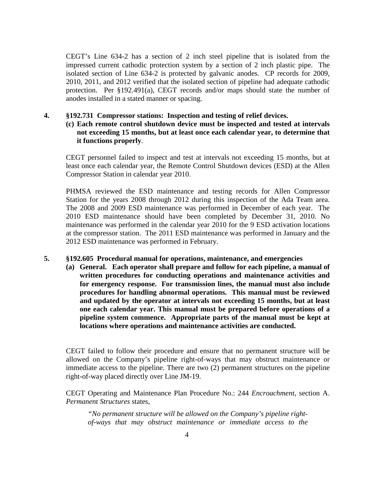CEGT's Line 634-2 has a section of 2 inch steel pipeline that is isolated from the impressed current cathodic protection system by a section of 2 inch plastic pipe. The isolated section of Line 634-2 is protected by galvanic anodes. CP records for 2009, 2010, 2011, and 2012 verified that the isolated section of pipeline had adequate cathodic protection. Per §192.491(a), CEGT records and/or maps should state the number of anodes installed in a stated manner or spacing.

## **4. §192.731 Compressor stations: Inspection and testing of relief devices.**

# **(c) Each remote control shutdown device must be inspected and tested at intervals not exceeding 15 months, but at least once each calendar year, to determine that it functions properly**.

CEGT personnel failed to inspect and test at intervals not exceeding 15 months, but at least once each calendar year, the Remote Control Shutdown devices (ESD) at the Allen Compressor Station in calendar year 2010.

PHMSA reviewed the ESD maintenance and testing records for Allen Compressor Station for the years 2008 through 2012 during this inspection of the Ada Team area. The 2008 and 2009 ESD maintenance was performed in December of each year. The 2010 ESD maintenance should have been completed by December 31, 2010. No maintenance was performed in the calendar year 2010 for the 9 ESD activation locations at the compressor station. The 2011 ESD maintenance was performed in January and the 2012 ESD maintenance was performed in February.

## **5. §192.605 Procedural manual for operations, maintenance, and emergencies**

**(a) General. Each operator shall prepare and follow for each pipeline, a manual of written procedures for conducting operations and maintenance activities and for emergency response. For transmission lines, the manual must also include procedures for handling abnormal operations. This manual must be reviewed and updated by the operator at intervals not exceeding 15 months, but at least one each calendar year. This manual must be prepared before operations of a pipeline system commence. Appropriate parts of the manual must be kept at locations where operations and maintenance activities are conducted.**

CEGT failed to follow their procedure and ensure that no permanent structure will be allowed on the Company's pipeline right-of-ways that may obstruct maintenance or immediate access to the pipeline. There are two (2) permanent structures on the pipeline right-of-way placed directly over Line JM-19.

CEGT Operating and Maintenance Plan Procedure No.: 244 *Encroachment*, section A. *Permanent Structures* states,

*"No permanent structure will be allowed on the Company's pipeline rightof-ways that may obstruct maintenance or immediate access to the*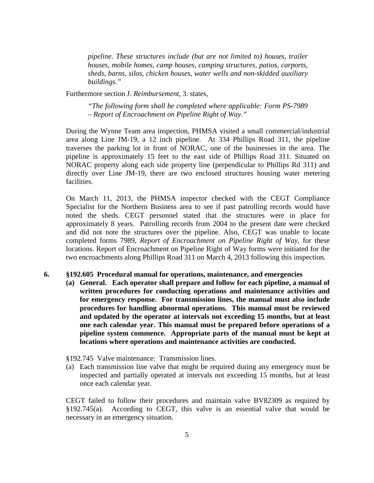*pipeline. These structures include (but are not limited to) houses, trailer houses, mobile homes, camp houses, camping structures, patios, carports, sheds, barns, silos, chicken houses, water wells and non-skidded auxiliary buildings."*

Furthermore section J. *Reimbursement*, 3. states,

*"The following form shall be completed where applicable: Form PS-7989 – Report of Encroachment on Pipeline Right of Way."* 

During the Wynne Team area inspection, PHMSA visited a small commercial/industrial area along Line JM-19, a 12 inch pipeline. At 334 Phillips Road 311, the pipeline traverses the parking lot in front of NORAC, one of the businesses in the area. The pipeline is approximately 15 feet to the east side of Phillips Road 311. Situated on NORAC property along each side property line (perpendicular to Phillips Rd 311) and directly over Line JM-19, there are two enclosed structures housing water metering facilities.

On March 11, 2013, the PHMSA inspector checked with the CEGT Compliance Specialist for the Northern Business area to see if past patrolling records would have noted the sheds. CEGT personnel stated that the structures were in place for approximately 8 years. Patrolling records from 2004 to the present date were checked and did not note the structures over the pipeline. Also, CEGT was unable to locate completed forms 7989, *Report of Encroachment on Pipeline Right of Way,* for these locations. Report of Encroachment on Pipeline Right of Way forms were initiated for the two encroachments along Phillips Road 311 on March 4, 2013 following this inspection.

#### **6. §192.605 Procedural manual for operations, maintenance, and emergencies**

**(a) General. Each operator shall prepare and follow for each pipeline, a manual of written procedures for conducting operations and maintenance activities and for emergency response. For transmission lines, the manual must also include procedures for handling abnormal operations. This manual must be reviewed and updated by the operator at intervals not exceeding 15 months, but at least one each calendar year. This manual must be prepared before operations of a pipeline system commence. Appropriate parts of the manual must be kept at locations where operations and maintenance activities are conducted.**

§192.745 Valve maintenance: Transmission lines.

(a) Each transmission line valve that might be required during any emergency must be inspected and partially operated at intervals not exceeding 15 months, but at least once each calendar year.

CEGT failed to follow their procedures and maintain valve BV82309 as required by §192.745(a). According to CEGT, this valve is an essential valve that would be necessary in an emergency situation.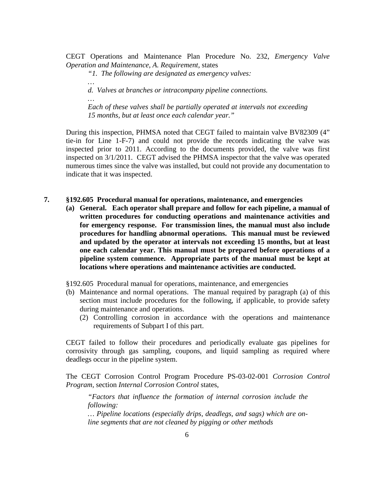CEGT Operations and Maintenance Plan Procedure No. 232, *Emergency Valve Operation and Maintenance, A. Requirement,* states

*"1. The following are designated as emergency valves:*

*…* 

*…* 

*d. Valves at branches or intracompany pipeline connections.* 

*Each of these valves shall be partially operated at intervals not exceeding 15 months, but at least once each calendar year."* 

During this inspection, PHMSA noted that CEGT failed to maintain valve BV82309 (4" tie-in for Line 1-F-7) and could not provide the records indicating the valve was inspected prior to 2011. According to the documents provided, the valve was first inspected on 3/1/2011. CEGT advised the PHMSA inspector that the valve was operated numerous times since the valve was installed, but could not provide any documentation to indicate that it was inspected.

- **7. §192.605 Procedural manual for operations, maintenance, and emergencies** 
	- **(a) General. Each operator shall prepare and follow for each pipeline, a manual of written procedures for conducting operations and maintenance activities and for emergency response. For transmission lines, the manual must also include procedures for handling abnormal operations. This manual must be reviewed and updated by the operator at intervals not exceeding 15 months, but at least one each calendar year. This manual must be prepared before operations of a pipeline system commence. Appropriate parts of the manual must be kept at locations where operations and maintenance activities are conducted.**

§192.605 Procedural manual for operations, maintenance, and emergencies

- (b) Maintenance and normal operations. The manual required by paragraph (a) of this section must include procedures for the following, if applicable, to provide safety during maintenance and operations.
	- (2) Controlling corrosion in accordance with the operations and maintenance requirements of Subpart I of this part.

CEGT failed to follow their procedures and periodically evaluate gas pipelines for corrosivity through gas sampling, coupons, and liquid sampling as required where deadlegs occur in the pipeline system.

The CEGT Corrosion Control Program Procedure PS-03-02-001 *Corrosion Control Program,* section *Internal Corrosion Control* states,

*"Factors that influence the formation of internal corrosion include the following:* 

*… Pipeline locations (especially drips, deadlegs, and sags) which are online segments that are not cleaned by pigging or other methods*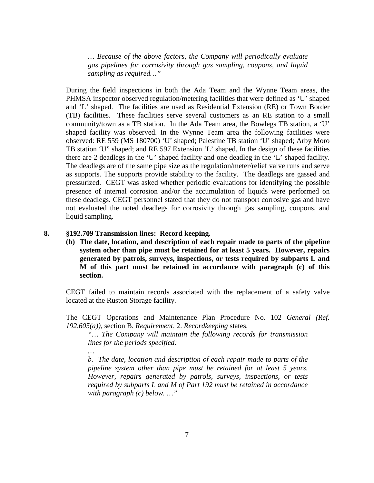*… Because of the above factors, the Company will periodically evaluate gas pipelines for corrosivity through gas sampling, coupons, and liquid sampling as required…"*

During the field inspections in both the Ada Team and the Wynne Team areas, the PHMSA inspector observed regulation/metering facilities that were defined as 'U' shaped and 'L' shaped. The facilities are used as Residential Extension (RE) or Town Border (TB) facilities. These facilities serve several customers as an RE station to a small community/town as a TB station. In the Ada Team area, the Bowlegs TB station, a 'U' shaped facility was observed. In the Wynne Team area the following facilities were observed: RE 559 (MS 180700) 'U' shaped; Palestine TB station 'U' shaped; Arby Moro TB station 'U" shaped; and RE 597 Extension 'L' shaped. In the design of these facilities there are 2 deadlegs in the 'U' shaped facility and one deadleg in the 'L' shaped facility. The deadlegs are of the same pipe size as the regulation/meter/relief valve runs and serve as supports. The supports provide stability to the facility. The deadlegs are gassed and pressurized. CEGT was asked whether periodic evaluations for identifying the possible presence of internal corrosion and/or the accumulation of liquids were performed on these deadlegs. CEGT personnel stated that they do not transport corrosive gas and have not evaluated the noted deadlegs for corrosivity through gas sampling, coupons, and liquid sampling.

### **8. §192.709 Transmission lines: Record keeping.**

*…* 

**(b) The date, location, and description of each repair made to parts of the pipeline system other than pipe must be retained for at least 5 years. However, repairs generated by patrols, surveys, inspections, or tests required by subparts L and M of this part must be retained in accordance with paragraph (c) of this section.**

CEGT failed to maintain records associated with the replacement of a safety valve located at the Ruston Storage facility.

The CEGT Operations and Maintenance Plan Procedure No. 102 *General (Ref. 192.605(a))*, section B*. Requirement,* 2. *Recordkeeping* states,

*"… The Company will maintain the following records for transmission lines for the periods specified:* 

*b. The date, location and description of each repair made to parts of the pipeline system other than pipe must be retained for at least 5 years. However, repairs generated by patrols, surveys, inspections, or tests required by subparts L and M of Part 192 must be retained in accordance with paragraph (c) below. …"*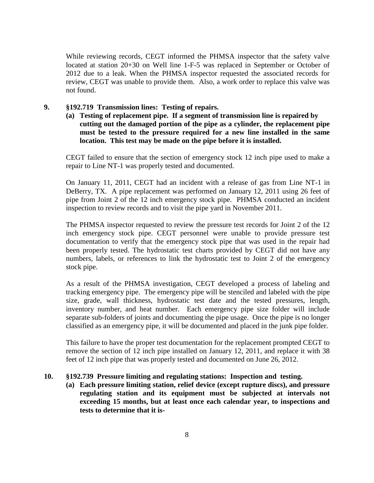While reviewing records, CEGT informed the PHMSA inspector that the safety valve located at station 20+30 on Well line 1-F-5 was replaced in September or October of 2012 due to a leak. When the PHMSA inspector requested the associated records for review, CEGT was unable to provide them. Also, a work order to replace this valve was not found.

- **9. §192.719 Transmission lines: Testing of repairs.** 
	- **(a) Testing of replacement pipe. If a segment of transmission line is repaired by cutting out the damaged portion of the pipe as a cylinder, the replacement pipe must be tested to the pressure required for a new line installed in the same location. This test may be made on the pipe before it is installed.**

CEGT failed to ensure that the section of emergency stock 12 inch pipe used to make a repair to Line NT-1 was properly tested and documented.

On January 11, 2011, CEGT had an incident with a release of gas from Line NT-1 in DeBerry, TX. A pipe replacement was performed on January 12, 2011 using 26 feet of pipe from Joint 2 of the 12 inch emergency stock pipe. PHMSA conducted an incident inspection to review records and to visit the pipe yard in November 2011.

The PHMSA inspector requested to review the pressure test records for Joint 2 of the 12 inch emergency stock pipe. CEGT personnel were unable to provide pressure test documentation to verify that the emergency stock pipe that was used in the repair had been properly tested. The hydrostatic test charts provided by CEGT did not have any numbers, labels, or references to link the hydrostatic test to Joint 2 of the emergency stock pipe.

As a result of the PHMSA investigation, CEGT developed a process of labeling and tracking emergency pipe. The emergency pipe will be stenciled and labeled with the pipe size, grade, wall thickness, hydrostatic test date and the tested pressures, length, inventory number, and heat number. Each emergency pipe size folder will include separate sub-folders of joints and documenting the pipe usage. Once the pipe is no longer classified as an emergency pipe, it will be documented and placed in the junk pipe folder.

This failure to have the proper test documentation for the replacement prompted CEGT to remove the section of 12 inch pipe installed on January 12, 2011, and replace it with 38 feet of 12 inch pipe that was properly tested and documented on June 26, 2012.

# **10. §192.739 Pressure limiting and regulating stations: Inspection and testing.**

**(a) Each pressure limiting station, relief device (except rupture discs), and pressure regulating station and its equipment must be subjected at intervals not exceeding 15 months, but at least once each calendar year, to inspections and tests to determine that it is-**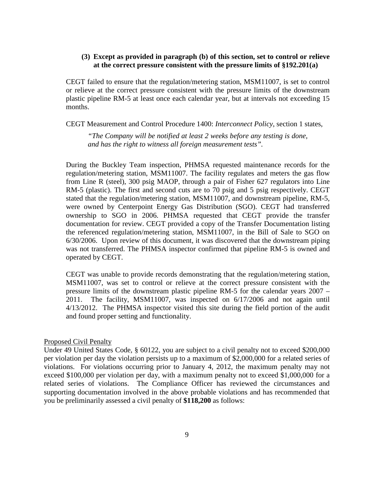## **(3) Except as provided in paragraph (b) of this section, set to control or relieve at the correct pressure consistent with the pressure limits of §192.201(a)**

CEGT failed to ensure that the regulation/metering station, MSM11007, is set to control or relieve at the correct pressure consistent with the pressure limits of the downstream plastic pipeline RM-5 at least once each calendar year, but at intervals not exceeding 15 months.

CEGT Measurement and Control Procedure 1400: *Interconnect Policy*, section 1 states,

*"The Company will be notified at least 2 weeks before any testing is done, and has the right to witness all foreign measurement tests".*

During the Buckley Team inspection, PHMSA requested maintenance records for the regulation/metering station, MSM11007. The facility regulates and meters the gas flow from Line R (steel), 300 psig MAOP, through a pair of Fisher 627 regulators into Line RM-5 (plastic). The first and second cuts are to 70 psig and 5 psig respectively. CEGT stated that the regulation/metering station, MSM11007, and downstream pipeline, RM-5, were owned by Centerpoint Energy Gas Distribution (SGO). CEGT had transferred ownership to SGO in 2006. PHMSA requested that CEGT provide the transfer documentation for review. CEGT provided a copy of the Transfer Documentation listing the referenced regulation/metering station, MSM11007, in the Bill of Sale to SGO on 6/30/2006. Upon review of this document, it was discovered that the downstream piping was not transferred. The PHMSA inspector confirmed that pipeline RM-5 is owned and operated by CEGT.

CEGT was unable to provide records demonstrating that the regulation/metering station, MSM11007, was set to control or relieve at the correct pressure consistent with the pressure limits of the downstream plastic pipeline RM-5 for the calendar years 2007 – 2011. The facility, MSM11007, was inspected on 6/17/2006 and not again until 4/13/2012. The PHMSA inspector visited this site during the field portion of the audit and found proper setting and functionality.

#### Proposed Civil Penalty

Under 49 United States Code, § 60122, you are subject to a civil penalty not to exceed \$200,000 per violation per day the violation persists up to a maximum of \$2,000,000 for a related series of violations. For violations occurring prior to January 4, 2012, the maximum penalty may not exceed \$100,000 per violation per day, with a maximum penalty not to exceed \$1,000,000 for a related series of violations. The Compliance Officer has reviewed the circumstances and supporting documentation involved in the above probable violations and has recommended that you be preliminarily assessed a civil penalty of **\$118,200** as follows: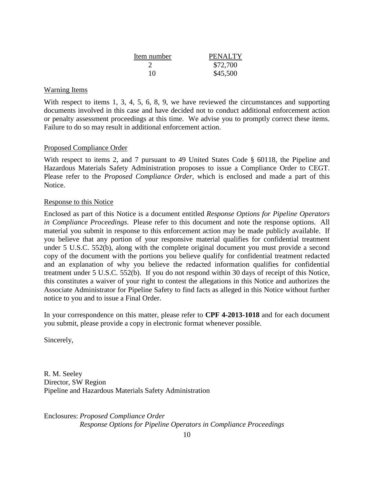| Item number | <b>PENALTY</b> |
|-------------|----------------|
|             | \$72,700       |
| 10          | \$45,500       |

## Warning Items

With respect to items 1, 3, 4, 5, 6, 8, 9, we have reviewed the circumstances and supporting documents involved in this case and have decided not to conduct additional enforcement action or penalty assessment proceedings at this time. We advise you to promptly correct these items. Failure to do so may result in additional enforcement action.

## Proposed Compliance Order

With respect to items 2, and 7 pursuant to 49 United States Code § 60118, the Pipeline and Hazardous Materials Safety Administration proposes to issue a Compliance Order to CEGT. Please refer to the *Proposed Compliance Order*, which is enclosed and made a part of this Notice.

#### Response to this Notice

Enclosed as part of this Notice is a document entitled *Response Options for Pipeline Operators in Compliance Proceedings*. Please refer to this document and note the response options. All material you submit in response to this enforcement action may be made publicly available. If you believe that any portion of your responsive material qualifies for confidential treatment under 5 U.S.C. 552(b), along with the complete original document you must provide a second copy of the document with the portions you believe qualify for confidential treatment redacted and an explanation of why you believe the redacted information qualifies for confidential treatment under 5 U.S.C. 552(b). If you do not respond within 30 days of receipt of this Notice, this constitutes a waiver of your right to contest the allegations in this Notice and authorizes the Associate Administrator for Pipeline Safety to find facts as alleged in this Notice without further notice to you and to issue a Final Order.

In your correspondence on this matter, please refer to **CPF 4-2013-1018** and for each document you submit, please provide a copy in electronic format whenever possible.

Sincerely,

R. M. Seeley Director, SW Region Pipeline and Hazardous Materials Safety Administration

Enclosures: *Proposed Compliance Order Response Options for Pipeline Operators in Compliance Proceedings*